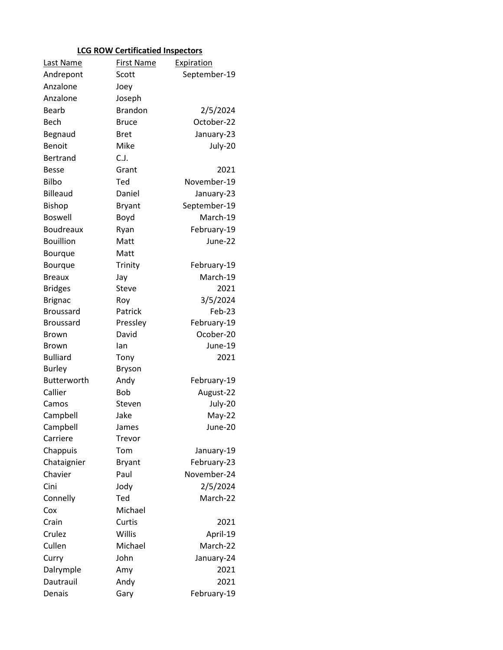## **LCG ROW Certificatied Inspectors**

| Last Name        | <b>First Name</b> | Expiration   |
|------------------|-------------------|--------------|
| Andrepont        | Scott             | September-19 |
| Anzalone         | Joey              |              |
| Anzalone         | Joseph            |              |
| <b>Bearb</b>     | <b>Brandon</b>    | 2/5/2024     |
| Bech             | Bruce             | October-22   |
| Begnaud          | <b>Bret</b>       | January-23   |
| Benoit           | Mike              | July-20      |
| <b>Bertrand</b>  | C.J.              |              |
| <b>Besse</b>     | Grant             | 2021         |
| <b>Bilbo</b>     | Ted               | November-19  |
| <b>Billeaud</b>  | Daniel            | January-23   |
| <b>Bishop</b>    | <b>Bryant</b>     | September-19 |
| <b>Boswell</b>   | Boyd              | March-19     |
| <b>Boudreaux</b> | Ryan              | February-19  |
| <b>Bouillion</b> | Matt              | June-22      |
| Bourque          | Matt              |              |
| Bourque          | Trinity           | February-19  |
| <b>Breaux</b>    | Jay               | March-19     |
| <b>Bridges</b>   | Steve             | 2021         |
| <b>Brignac</b>   | Roy               | 3/5/2024     |
| <b>Broussard</b> | Patrick           | Feb-23       |
| <b>Broussard</b> | Pressley          | February-19  |
| <b>Brown</b>     | David             | Ocober-20    |
| <b>Brown</b>     | lan               | June-19      |
| <b>Bulliard</b>  | Tony              | 2021         |
| <b>Burley</b>    | <b>Bryson</b>     |              |
| Butterworth      | Andy              | February-19  |
| Callier          | Bob               | August-22    |
| Camos            | Steven            | July-20      |
| Campbell         | Jake              | May-22       |
| Campbell         | James             | June-20      |
| Carriere         | Trevor            |              |
| Chappuis         | Tom               | January-19   |
| Chataignier      | <b>Bryant</b>     | February-23  |
| Chavier          | Paul              | November-24  |
| Cini             | Jody              | 2/5/2024     |
| Connelly         | Ted               | March-22     |
| Cox              | Michael           |              |
| Crain            | Curtis            | 2021         |
| Crulez           | Willis            | April-19     |
| Cullen           | Michael           | March-22     |
| Curry            | John              | January-24   |
| Dalrymple        | Amy               | 2021         |
| Dautrauil        | Andy              | 2021         |
| Denais           | Gary              | February-19  |
|                  |                   |              |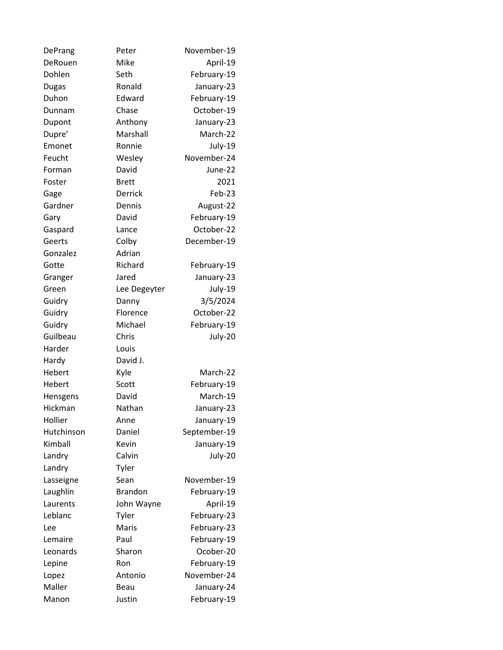| DePrang      | Peter          | November-19  |
|--------------|----------------|--------------|
| DeRouen      | Mike           | April-19     |
| Dohlen       | Seth           | February-19  |
| <b>Dugas</b> | Ronald         | January-23   |
| Duhon        | Edward         | February-19  |
| Dunnam       | Chase          | October-19   |
| Dupont       | Anthony        | January-23   |
| Dupre'       | Marshall       | March-22     |
| Emonet       | Ronnie         | July-19      |
| Feucht       | Wesley         | November-24  |
| Forman       | David          | June-22      |
| Foster       | <b>Brett</b>   | 2021         |
| Gage         | Derrick        | Feb-23       |
| Gardner      | Dennis         | August-22    |
| Gary         | David          | February-19  |
| Gaspard      | Lance          | October-22   |
| Geerts       | Colby          | December-19  |
| Gonzalez     | Adrian         |              |
| Gotte        | Richard        | February-19  |
| Granger      | Jared          | January-23   |
| Green        | Lee Degeyter   | July-19      |
| Guidry       | Danny          | 3/5/2024     |
| Guidry       | Florence       | October-22   |
| Guidry       | Michael        | February-19  |
| Guilbeau     | Chris          | July-20      |
| Harder       | Louis          |              |
| Hardy        | David J.       |              |
| Hebert       | Kyle           | March-22     |
| Hebert       | Scott          | February-19  |
| Hensgens     | David          | March-19     |
| Hickman      | Nathan         | January-23   |
| Hollier      | Anne           | January-19   |
| Hutchinson   | Daniel         | September-19 |
| Kimball      | Kevin          | January-19   |
| Landry       | Calvin         | July-20      |
| Landry       | Tyler          |              |
| Lasseigne    | Sean           | November-19  |
| Laughlin     | <b>Brandon</b> | February-19  |
| Laurents     | John Wayne     | April-19     |
| Leblanc      | Tyler          | February-23  |
| Lee          | Maris          | February-23  |
| Lemaire      | Paul           | February-19  |
| Leonards     | Sharon         | Ocober-20    |
| Lepine       | Ron            | February-19  |
| Lopez        | Antonio        | November-24  |
| Maller       | Beau           | January-24   |
| Manon        | Justin         | February-19  |
|              |                |              |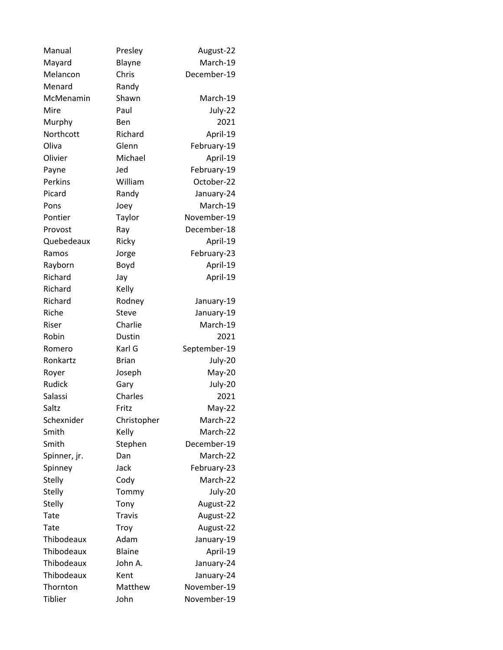| Manual       | Presley       | August-22    |
|--------------|---------------|--------------|
| Mayard       | Blayne        | March-19     |
| Melancon     | Chris         | December-19  |
| Menard       | Randy         |              |
| McMenamin    | Shawn         | March-19     |
| Mire         | Paul          | July-22      |
| Murphy       | Ben           | 2021         |
| Northcott    | Richard       | April-19     |
| Oliva        | Glenn         | February-19  |
| Olivier      | Michael       | April-19     |
| Payne        | Jed           | February-19  |
| Perkins      | William       | October-22   |
| Picard       | Randy         | January-24   |
| Pons         | Joey          | March-19     |
| Pontier      | Taylor        | November-19  |
| Provost      | Ray           | December-18  |
| Quebedeaux   | Ricky         | April-19     |
| Ramos        | Jorge         | February-23  |
| Rayborn      | Boyd          | April-19     |
| Richard      | Jay           | April-19     |
| Richard      | Kelly         |              |
| Richard      | Rodney        | January-19   |
| Riche        | Steve         | January-19   |
| Riser        | Charlie       | March-19     |
| Robin        | Dustin        | 2021         |
| Romero       | Karl G        | September-19 |
| Ronkartz     | <b>Brian</b>  | July-20      |
| Royer        | Joseph        | May-20       |
| Rudick       | Gary          | July-20      |
| Salassi      | Charles       | 2021         |
| Saltz        | Fritz         | May-22       |
| Schexnider   | Christopher   | March-22     |
| Smith        | Kelly         | March-22     |
| Smith        | Stephen       | December-19  |
| Spinner, jr. | Dan           | March-22     |
| Spinney      | Jack          | February-23  |
| Stelly       | Cody          | March-22     |
| Stelly       | Tommy         | July-20      |
| Stelly       | Tony          | August-22    |
| Tate         | <b>Travis</b> | August-22    |
| Tate         | Troy          | August-22    |
| Thibodeaux   | Adam          | January-19   |
| Thibodeaux   | <b>Blaine</b> | April-19     |
| Thibodeaux   | John A.       | January-24   |
| Thibodeaux   | Kent          | January-24   |
| Thornton     | Matthew       | November-19  |
| Tiblier      | John          | November-19  |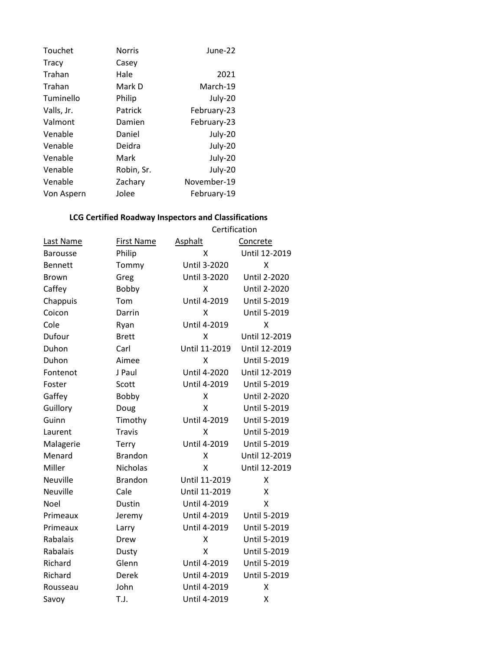| Touchet      | <b>Norris</b> | June-22     |
|--------------|---------------|-------------|
| <b>Tracy</b> | Casey         |             |
| Trahan       | Hale          | 2021        |
| Trahan       | Mark D        | March-19    |
| Tuminello    | Philip        | July-20     |
| Valls, Jr.   | Patrick       | February-23 |
| Valmont      | Damien        | February-23 |
| Venable      | Daniel        | July-20     |
| Venable      | Deidra        | July-20     |
| Venable      | Mark          | July-20     |
| Venable      | Robin, Sr.    | July-20     |
| Venable      | Zachary       | November-19 |
| Von Aspern   | Jolee         | February-19 |

## **LCG Certified Roadway Inspectors and Classifications**

|                  |                   | Certification       |                     |
|------------------|-------------------|---------------------|---------------------|
| <b>Last Name</b> | <b>First Name</b> | Asphalt             | Concrete            |
| <b>Barousse</b>  | Philip            | x                   | Until 12-2019       |
| <b>Bennett</b>   | Tommy             | Until 3-2020        | X                   |
| <b>Brown</b>     | Greg              | <b>Until 3-2020</b> | <b>Until 2-2020</b> |
| Caffey           | Bobby             | Χ                   | <b>Until 2-2020</b> |
| Chappuis         | Tom               | Until 4-2019        | <b>Until 5-2019</b> |
| Coicon           | Darrin            | X                   | <b>Until 5-2019</b> |
| Cole             | Ryan              | Until 4-2019        | X                   |
| Dufour           | <b>Brett</b>      | X                   | Until 12-2019       |
| Duhon            | Carl              | Until 11-2019       | Until 12-2019       |
| Duhon            | Aimee             | Χ                   | Until 5-2019        |
| Fontenot         | J Paul            | Until 4-2020        | Until 12-2019       |
| Foster           | Scott             | Until 4-2019        | <b>Until 5-2019</b> |
| Gaffey           | Bobby             | X                   | <b>Until 2-2020</b> |
| Guillory         | Doug              | x                   | <b>Until 5-2019</b> |
| Guinn            | Timothy           | <b>Until 4-2019</b> | <b>Until 5-2019</b> |
| Laurent          | <b>Travis</b>     | X                   | <b>Until 5-2019</b> |
| Malagerie        | Terry             | Until 4-2019        | <b>Until 5-2019</b> |
| Menard           | <b>Brandon</b>    | Χ                   | Until 12-2019       |
| Miller           | Nicholas          | x                   | Until 12-2019       |
| Neuville         | <b>Brandon</b>    | Until 11-2019       | Χ                   |
| Neuville         | Cale              | Until 11-2019       | X                   |
| Noel             | Dustin            | Until 4-2019        | x                   |
| Primeaux         | Jeremy            | Until 4-2019        | <b>Until 5-2019</b> |
| Primeaux         | Larry             | Until 4-2019        | <b>Until 5-2019</b> |
| Rabalais         | Drew              | X                   | <b>Until 5-2019</b> |
| Rabalais         | Dusty             | x                   | <b>Until 5-2019</b> |
| Richard          | Glenn             | Until 4-2019        | <b>Until 5-2019</b> |
| Richard          | Derek             | Until 4-2019        | <b>Until 5-2019</b> |
| Rousseau         | John              | Until 4-2019        | Χ                   |
| Savoy            | T.J.              | Until 4-2019        | X                   |